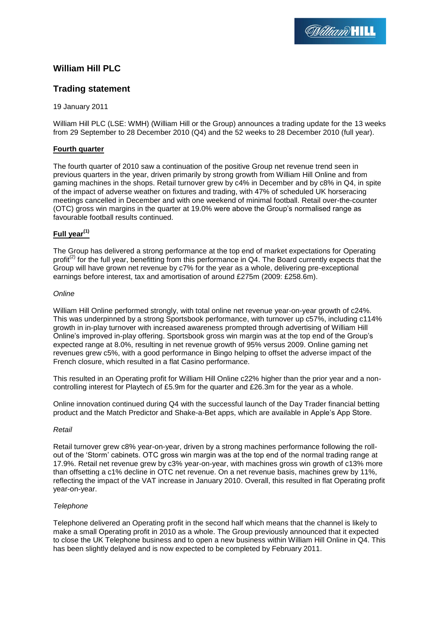# **William Hill PLC**

## **Trading statement**

19 January 2011

William Hill PLC (LSE: WMH) (William Hill or the Group) announces a trading update for the 13 weeks from 29 September to 28 December 2010 (Q4) and the 52 weeks to 28 December 2010 (full year).

## **Fourth quarter**

The fourth quarter of 2010 saw a continuation of the positive Group net revenue trend seen in previous quarters in the year, driven primarily by strong growth from William Hill Online and from gaming machines in the shops. Retail turnover grew by c4% in December and by c8% in Q4, in spite of the impact of adverse weather on fixtures and trading, with 47% of scheduled UK horseracing meetings cancelled in December and with one weekend of minimal football. Retail over-the-counter (OTC) gross win margins in the quarter at 19.0% were above the Group's normalised range as favourable football results continued.

## **Full year(1)**

The Group has delivered a strong performance at the top end of market expectations for Operating profit<sup>(2)</sup> for the full year, benefitting from this performance in Q4. The Board currently expects that the Group will have grown net revenue by c7% for the year as a whole, delivering pre-exceptional earnings before interest, tax and amortisation of around £275m (2009: £258.6m).

## *Online*

William Hill Online performed strongly, with total online net revenue year-on-year growth of c24%. This was underpinned by a strong Sportsbook performance, with turnover up c57%, including c114% growth in in-play turnover with increased awareness prompted through advertising of William Hill Online's improved in-play offering. Sportsbook gross win margin was at the top end of the Group's expected range at 8.0%, resulting in net revenue growth of 95% versus 2009. Online gaming net revenues grew c5%, with a good performance in Bingo helping to offset the adverse impact of the French closure, which resulted in a flat Casino performance.

This resulted in an Operating profit for William Hill Online c22% higher than the prior year and a noncontrolling interest for Playtech of £5.9m for the quarter and £26.3m for the year as a whole.

Online innovation continued during Q4 with the successful launch of the Day Trader financial betting product and the Match Predictor and Shake-a-Bet apps, which are available in Apple's App Store.

## *Retail*

Retail turnover grew c8% year-on-year, driven by a strong machines performance following the rollout of the 'Storm' cabinets. OTC gross win margin was at the top end of the normal trading range at 17.9%. Retail net revenue grew by c3% year-on-year, with machines gross win growth of c13% more than offsetting a c1% decline in OTC net revenue. On a net revenue basis, machines grew by 11%, reflecting the impact of the VAT increase in January 2010. Overall, this resulted in flat Operating profit year-on-year.

## *Telephone*

Telephone delivered an Operating profit in the second half which means that the channel is likely to make a small Operating profit in 2010 as a whole. The Group previously announced that it expected to close the UK Telephone business and to open a new business within William Hill Online in Q4. This has been slightly delayed and is now expected to be completed by February 2011.